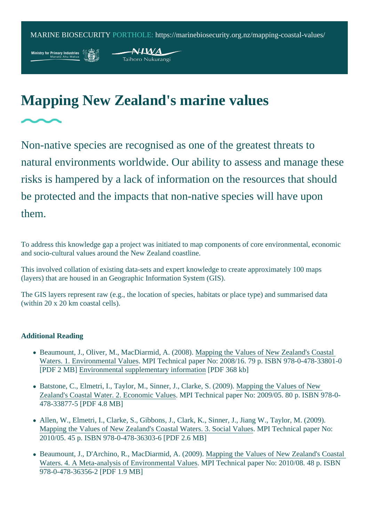## Mapping New Zealand's marine values

Non-native species are recognised as one of the greatest threats to natural environments worldwide. Our ability to assess and manage the risks is hampered by a lack of information on the resources that should be protected and the impacts that non-native species will have upon them.

To address this knowledge gap a project was initiated to map components of core environmental, economic and socio-cultural values around the New Zealand coastline.

This involved collation of existing data-sets and expert knowledge to create approximately 100 maps (layers) that are housed in an Geographic Information System (GIS).

The GIS layers represent raw (e.g., the location of species, habitats or place type) and summarised data (within 20 x 20 km coastal cells).

## Additional Reading

- Beaumount, J., Oliver, M., MacDiarmid, A. (200Mapping the Values of New Zealand's Coastal [Waters. 1. Environmental Valu](https://web.archive.org/web/20100522212058/http:/www.biosecurity.govt.nz/files/pests/salt-freshwater/mapping-coastal-waters.pdf)es PI Technical paper No: 2008/16. 79 p. ISBN 978-0-478-33801-0 [PDF 2 MB] [Environmental supplementary informat](https://web.archive.org/web/20100522212130/http:/www.biosecurity.govt.nz/files/pests/salt-freshwater/environmental-value-mapping.pdf)ion DF 368 kb]
- Batstone, C., Elmetri, I., Taylor, M., Sinner, J., Clarke, S. (2009). The Values of New [Zealand's Coastal Water. 2. Economic Va](https://web.archive.org/web/20100522211820/http:/www.biosecurity.govt.nz/files/pests/salt-freshwater/economic-value-mapping.pdf)ludes Technical paper No: 2009/05. 80 p. ISBN 978-0-478-33877-5 [PDF 4.8 MB]
- Allen, W., Elmetri, I., Clarke, S., Gibbons, J., Clark, K., Sinner, J., Jiang W., Taylor, M. (2009). [Mapping the Values of New Zealand's Coastal Waters. 3. Social V](https://web.archive.org/web/20100602071523/http:/www.biosecurity.govt.nz/files/pests/salt-freshwater/social-value-mapping.pdf)alues Technical paper No: 2010/05. 45 p. ISBN 978-0-478-36303-6 [PDF 2.6 MB]
- Beaumount, J., D'Archino, R., MacDiarmid, A. (2009) apping the Values of New Zealand's Coastal [Waters. 4. A Meta-analysis of Environmental Val](https://mpi.govt.nz/dmsdocument/7320-4-a-meta-analysis-of-environmental-values-mapping-the-values-of-new-zealands-coastal-waters)uder Technical paper No: 2010/08. 48 p. ISBN 978-0-478-36356-2 [PDF 1.9 MB]